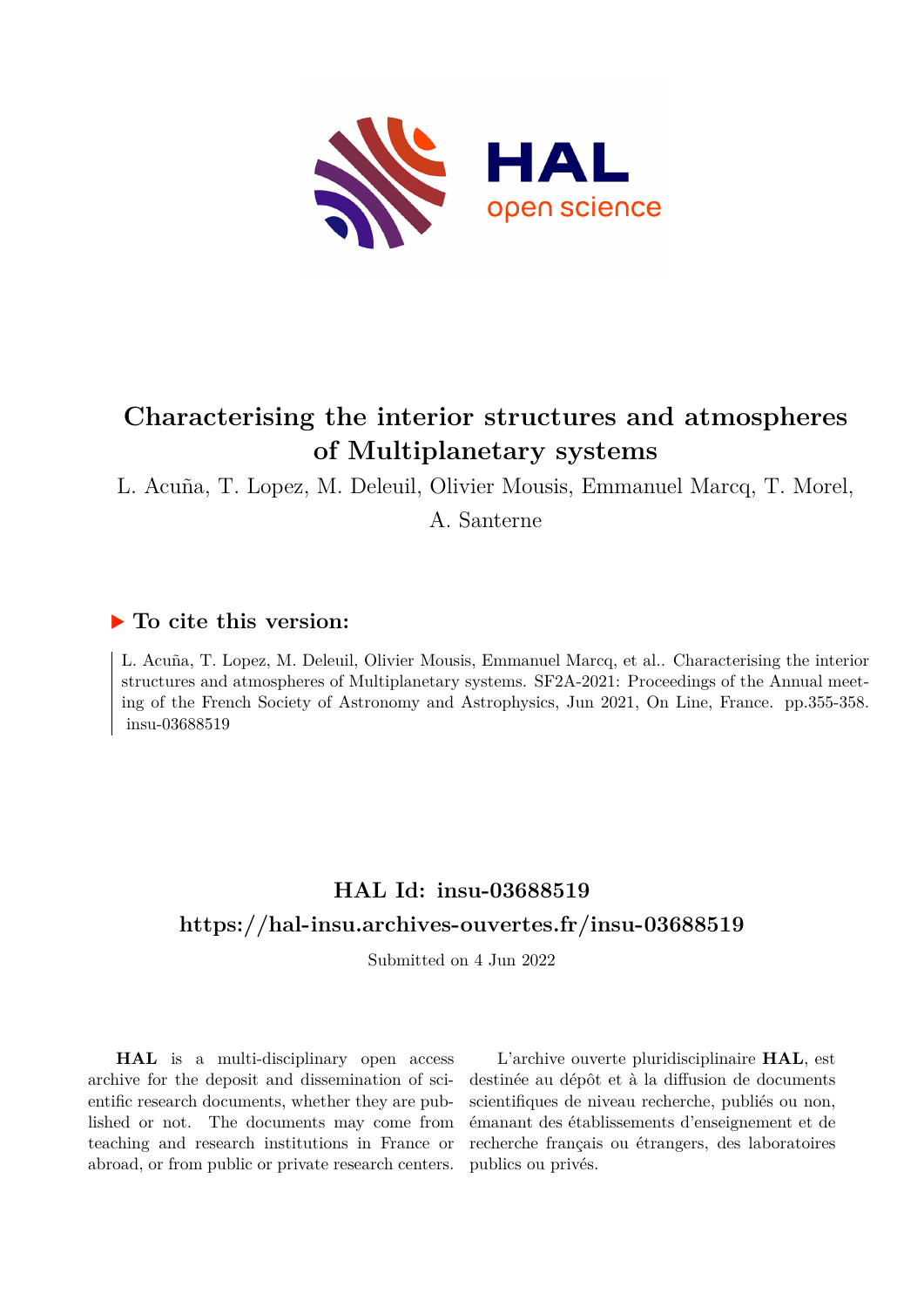

# **Characterising the interior structures and atmospheres of Multiplanetary systems**

L. Acuña, T. Lopez, M. Deleuil, Olivier Mousis, Emmanuel Marcq, T. Morel, A. Santerne

### **To cite this version:**

L. Acuña, T. Lopez, M. Deleuil, Olivier Mousis, Emmanuel Marcq, et al.. Characterising the interior structures and atmospheres of Multiplanetary systems. SF2A-2021: Proceedings of the Annual meeting of the French Society of Astronomy and Astrophysics, Jun 2021, On Line, France. pp.355-358. insu-03688519

## **HAL Id: insu-03688519 <https://hal-insu.archives-ouvertes.fr/insu-03688519>**

Submitted on 4 Jun 2022

**HAL** is a multi-disciplinary open access archive for the deposit and dissemination of scientific research documents, whether they are published or not. The documents may come from teaching and research institutions in France or abroad, or from public or private research centers.

L'archive ouverte pluridisciplinaire **HAL**, est destinée au dépôt et à la diffusion de documents scientifiques de niveau recherche, publiés ou non, émanant des établissements d'enseignement et de recherche français ou étrangers, des laboratoires publics ou privés.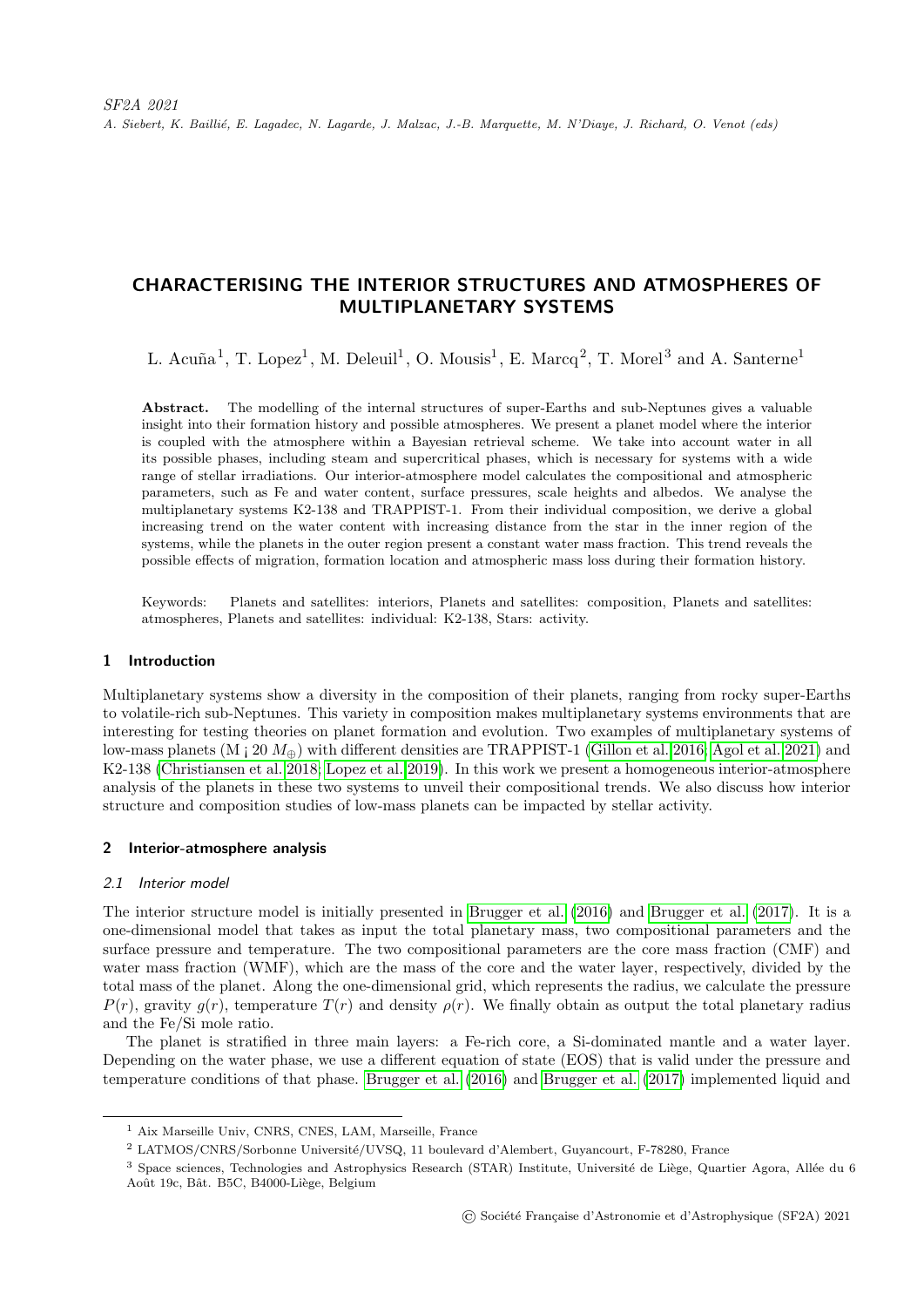A. Siebert, K. Baillié, E. Lagadec, N. Lagarde, J. Malzac, J.-B. Marquette, M. N'Diaye, J. Richard, O. Venot (eds)

### CHARACTERISING THE INTERIOR STRUCTURES AND ATMOSPHERES OF MULTIPLANETARY SYSTEMS

L. Acuña<sup>1</sup>, T. Lopez<sup>1</sup>, M. Deleuil<sup>1</sup>, O. Mousis<sup>1</sup>, E. Marcq<sup>2</sup>, T. Morel<sup>3</sup> and A. Santerne<sup>1</sup>

Abstract. The modelling of the internal structures of super-Earths and sub-Neptunes gives a valuable insight into their formation history and possible atmospheres. We present a planet model where the interior is coupled with the atmosphere within a Bayesian retrieval scheme. We take into account water in all its possible phases, including steam and supercritical phases, which is necessary for systems with a wide range of stellar irradiations. Our interior-atmosphere model calculates the compositional and atmospheric parameters, such as Fe and water content, surface pressures, scale heights and albedos. We analyse the multiplanetary systems K2-138 and TRAPPIST-1. From their individual composition, we derive a global increasing trend on the water content with increasing distance from the star in the inner region of the systems, while the planets in the outer region present a constant water mass fraction. This trend reveals the possible effects of migration, formation location and atmospheric mass loss during their formation history.

Keywords: Planets and satellites: interiors, Planets and satellites: composition, Planets and satellites: atmospheres, Planets and satellites: individual: K2-138, Stars: activity.

#### 1 Introduction

Multiplanetary systems show a diversity in the composition of their planets, ranging from rocky super-Earths to volatile-rich sub-Neptunes. This variety in composition makes multiplanetary systems environments that are interesting for testing theories on planet formation and evolution. Two examples of multiplanetary systems of low-mass planets (M  $\alpha$  20  $M_{\oplus}$ ) with different densities are TRAPPIST-1 (Gillon et al. 2016; Agol et al. 2021) and K2-138 (Christiansen et al. 2018; Lopez et al. 2019). In this work we present a homogeneous interior-atmosphere analysis of the planets in these two systems to unveil their compositional trends. We also discuss how interior structure and composition studies of low-mass planets can be impacted by stellar activity.

#### 2 Interior-atmosphere analysis

#### 2.1 Interior model

The interior structure model is initially presented in Brugger et al. (2016) and Brugger et al. (2017). It is a one-dimensional model that takes as input the total planetary mass, two compositional parameters and the surface pressure and temperature. The two compositional parameters are the core mass fraction (CMF) and water mass fraction (WMF), which are the mass of the core and the water layer, respectively, divided by the total mass of the planet. Along the one-dimensional grid, which represents the radius, we calculate the pressure  $P(r)$ , gravity  $g(r)$ , temperature  $T(r)$  and density  $\rho(r)$ . We finally obtain as output the total planetary radius and the Fe/Si mole ratio.

The planet is stratified in three main layers: a Fe-rich core, a Si-dominated mantle and a water layer. Depending on the water phase, we use a different equation of state (EOS) that is valid under the pressure and temperature conditions of that phase. Brugger et al. (2016) and Brugger et al. (2017) implemented liquid and

<sup>1</sup> Aix Marseille Univ, CNRS, CNES, LAM, Marseille, France

<sup>&</sup>lt;sup>2</sup> LATMOS/CNRS/Sorbonne Université/UVSQ, 11 boulevard d'Alembert, Guyancourt, F-78280, France

 $3$  Space sciences, Technologies and Astrophysics Research (STAR) Institute, Université de Liège, Quartier Agora, Allée du 6 Août 19c, Bât. B5C, B4000-Liège, Belgium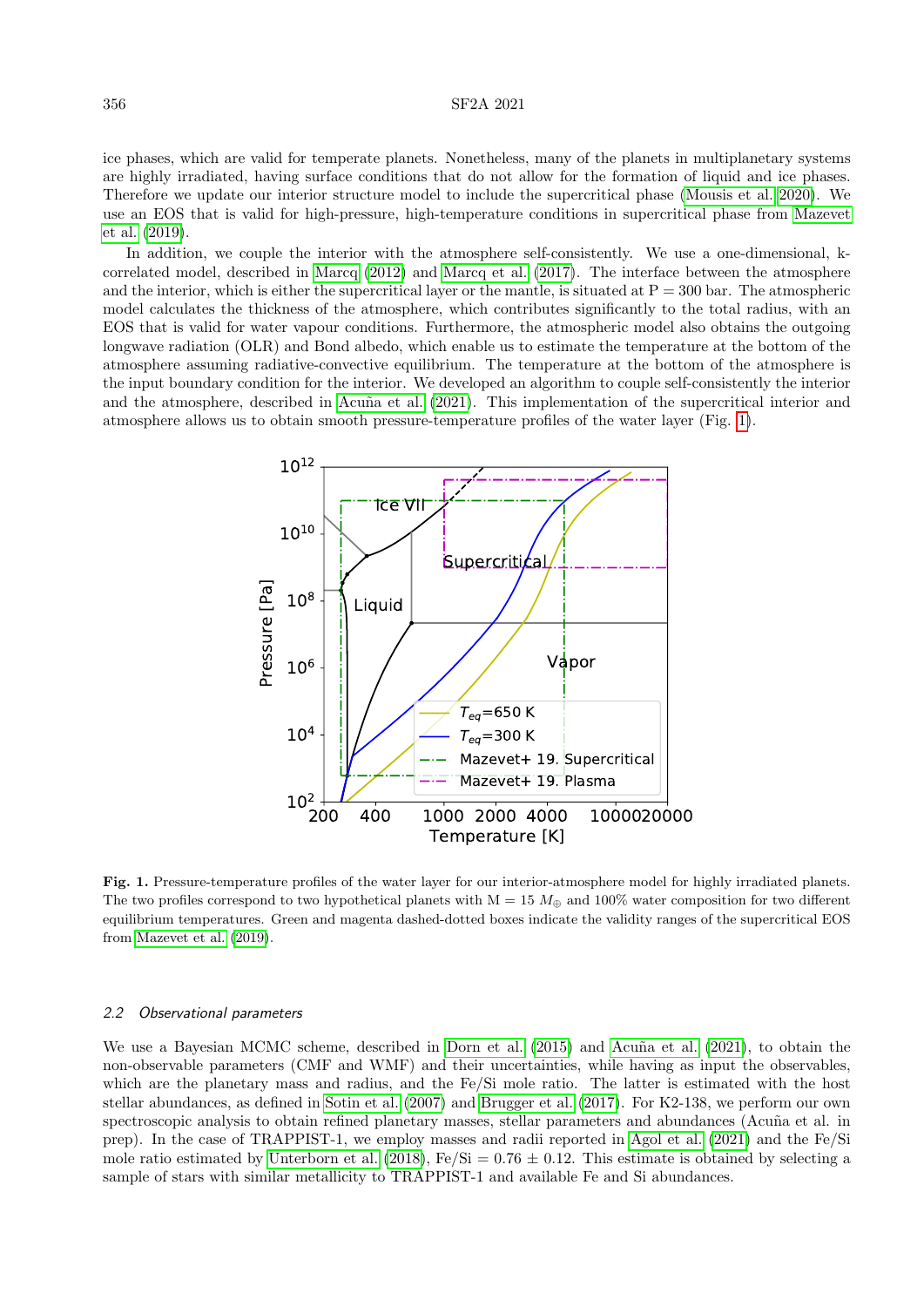ice phases, which are valid for temperate planets. Nonetheless, many of the planets in multiplanetary systems are highly irradiated, having surface conditions that do not allow for the formation of liquid and ice phases. Therefore we update our interior structure model to include the supercritical phase (Mousis et al. 2020). We use an EOS that is valid for high-pressure, high-temperature conditions in supercritical phase from Mazevet et al. (2019).

In addition, we couple the interior with the atmosphere self-consistently. We use a one-dimensional, kcorrelated model, described in Marcq (2012) and Marcq et al. (2017). The interface between the atmosphere and the interior, which is either the supercritical layer or the mantle, is situated at  $P = 300$  bar. The atmospheric model calculates the thickness of the atmosphere, which contributes significantly to the total radius, with an EOS that is valid for water vapour conditions. Furthermore, the atmospheric model also obtains the outgoing longwave radiation (OLR) and Bond albedo, which enable us to estimate the temperature at the bottom of the atmosphere assuming radiative-convective equilibrium. The temperature at the bottom of the atmosphere is the input boundary condition for the interior. We developed an algorithm to couple self-consistently the interior and the atmosphere, described in Acuña et al. (2021). This implementation of the supercritical interior and atmosphere allows us to obtain smooth pressure-temperature profiles of the water layer (Fig. 1).



Fig. 1. Pressure-temperature profiles of the water layer for our interior-atmosphere model for highly irradiated planets. The two profiles correspond to two hypothetical planets with  $M = 15 M_{\oplus}$  and 100% water composition for two different equilibrium temperatures. Green and magenta dashed-dotted boxes indicate the validity ranges of the supercritical EOS from Mazevet et al. (2019).

#### 2.2 Observational parameters

We use a Bayesian MCMC scheme, described in Dorn et al. (2015) and Acuña et al. (2021), to obtain the non-observable parameters (CMF and WMF) and their uncertainties, while having as input the observables, which are the planetary mass and radius, and the Fe/Si mole ratio. The latter is estimated with the host stellar abundances, as defined in Sotin et al. (2007) and Brugger et al. (2017). For K2-138, we perform our own spectroscopic analysis to obtain refined planetary masses, stellar parameters and abundances (Acuña et al. in prep). In the case of TRAPPIST-1, we employ masses and radii reported in Agol et al. (2021) and the Fe/Si mole ratio estimated by Unterborn et al. (2018),  $Fe/Si = 0.76 \pm 0.12$ . This estimate is obtained by selecting a sample of stars with similar metallicity to TRAPPIST-1 and available Fe and Si abundances.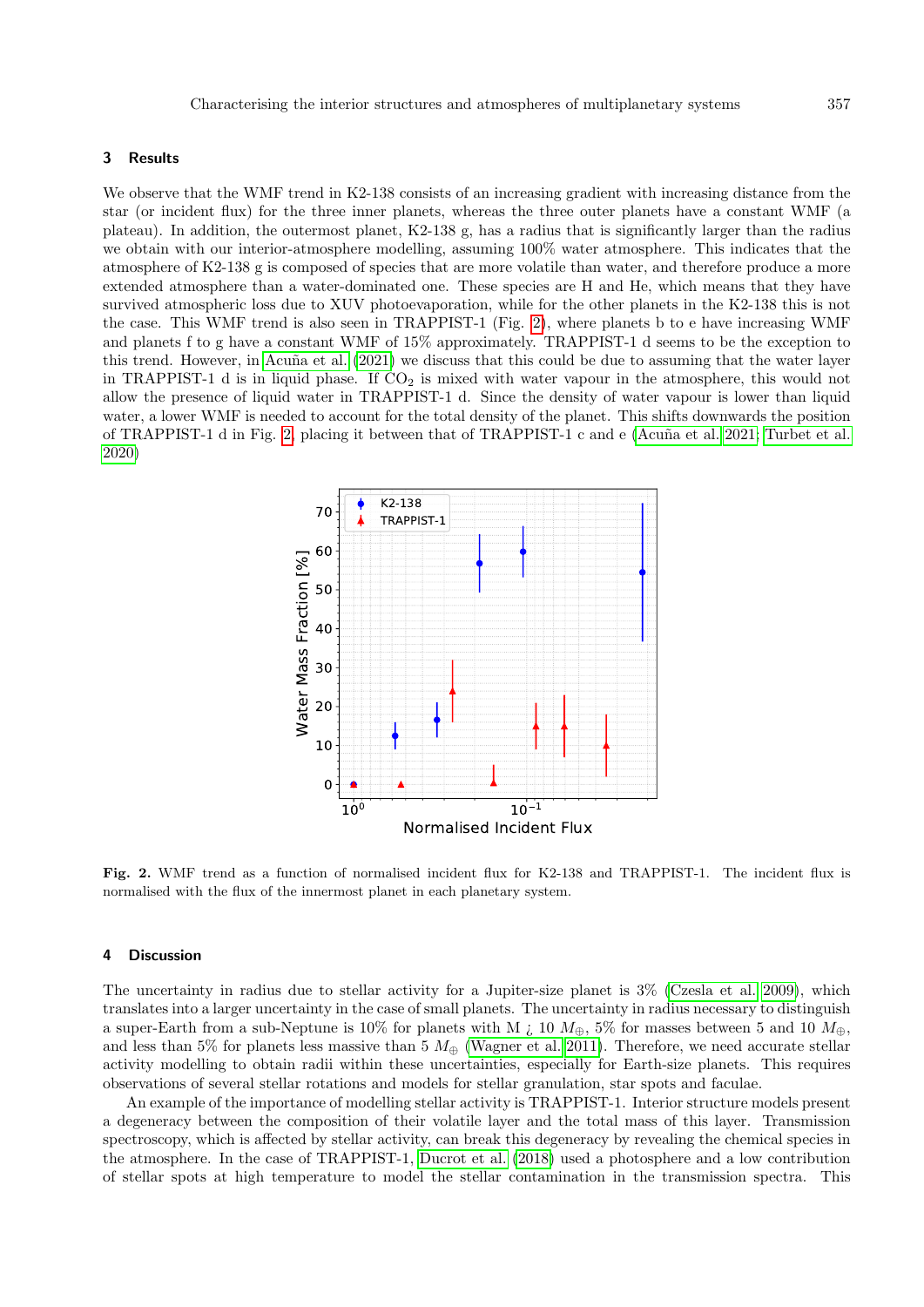#### 3 Results

We observe that the WMF trend in K2-138 consists of an increasing gradient with increasing distance from the star (or incident flux) for the three inner planets, whereas the three outer planets have a constant WMF (a plateau). In addition, the outermost planet, K2-138 g, has a radius that is significantly larger than the radius we obtain with our interior-atmosphere modelling, assuming 100% water atmosphere. This indicates that the atmosphere of K2-138 g is composed of species that are more volatile than water, and therefore produce a more extended atmosphere than a water-dominated one. These species are H and He, which means that they have survived atmospheric loss due to XUV photoevaporation, while for the other planets in the K2-138 this is not the case. This WMF trend is also seen in TRAPPIST-1 (Fig. 2), where planets b to e have increasing WMF and planets f to g have a constant WMF of 15% approximately. TRAPPIST-1 d seems to be the exception to this trend. However, in Acuña et al. (2021) we discuss that this could be due to assuming that the water layer in TRAPPIST-1 d is in liquid phase. If  $CO<sub>2</sub>$  is mixed with water vapour in the atmosphere, this would not allow the presence of liquid water in TRAPPIST-1 d. Since the density of water vapour is lower than liquid water, a lower WMF is needed to account for the total density of the planet. This shifts downwards the position of TRAPPIST-1 d in Fig. 2, placing it between that of TRAPPIST-1 c and e (Acuña et al. 2021; Turbet et al. 2020)



Fig. 2. WMF trend as a function of normalised incident flux for K2-138 and TRAPPIST-1. The incident flux is normalised with the flux of the innermost planet in each planetary system.

#### 4 Discussion

The uncertainty in radius due to stellar activity for a Jupiter-size planet is 3% (Czesla et al. 2009), which translates into a larger uncertainty in the case of small planets. The uncertainty in radius necessary to distinguish a super-Earth from a sub-Neptune is 10% for planets with M  $\chi$  10  $M_{\oplus}$ , 5% for masses between 5 and 10  $M_{\oplus}$ , and less than 5% for planets less massive than 5  $M_{\oplus}$  (Wagner et al. 2011). Therefore, we need accurate stellar activity modelling to obtain radii within these uncertainties, especially for Earth-size planets. This requires observations of several stellar rotations and models for stellar granulation, star spots and faculae.

An example of the importance of modelling stellar activity is TRAPPIST-1. Interior structure models present a degeneracy between the composition of their volatile layer and the total mass of this layer. Transmission spectroscopy, which is affected by stellar activity, can break this degeneracy by revealing the chemical species in the atmosphere. In the case of TRAPPIST-1, Ducrot et al. (2018) used a photosphere and a low contribution of stellar spots at high temperature to model the stellar contamination in the transmission spectra. This